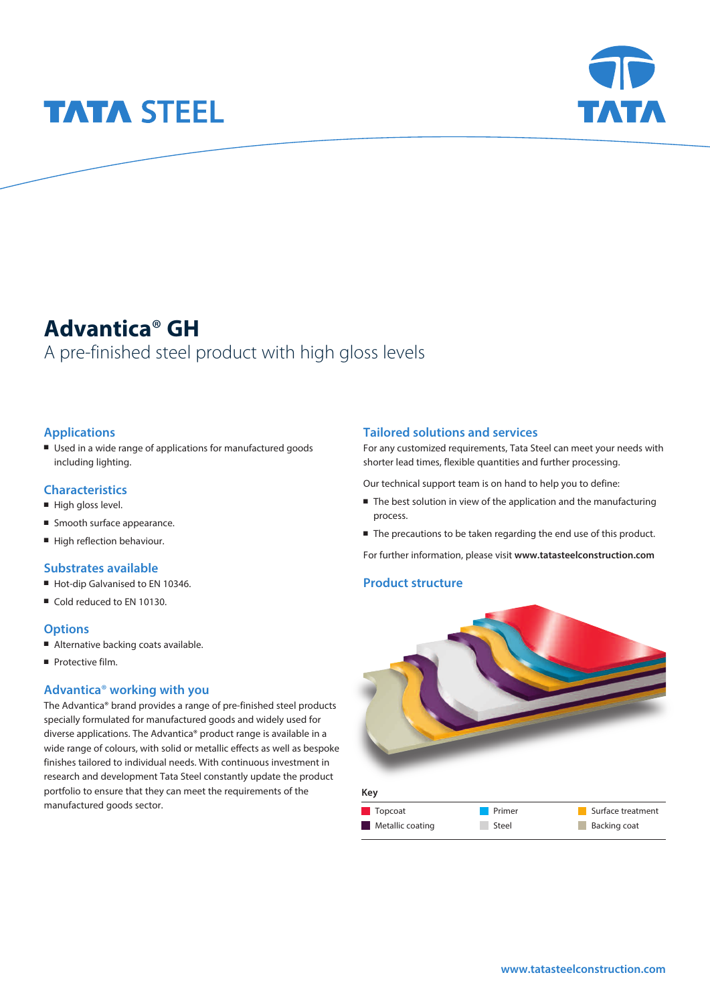# **TATA STEEL**



# **Advantica**® **GH**

# A pre-finished steel product with high gloss levels

# **Applications**

■ Used in a wide range of applications for manufactured goods including lighting.

# **Characteristics**

- $\blacksquare$  High gloss level.
- Smooth surface appearance.
- High reflection behaviour.

### **Substrates available**

- Hot-dip Galvanised to EN 10346.
- Cold reduced to EN 10130.

### **Options**

- Alternative backing coats available.
- **Protective film.**

### **Advantica**® **working with you**

The Advantica® brand provides a range of pre-finished steel products specially formulated for manufactured goods and widely used for diverse applications. The Advantica® product range is available in a wide range of colours, with solid or metallic effects as well as bespoke finishes tailored to individual needs. With continuous investment in research and development Tata Steel constantly update the product portfolio to ensure that they can meet the requirements of the manufactured goods sector.

### **Tailored solutions and services**

For any customized requirements, Tata Steel can meet your needs with shorter lead times, flexible quantities and further processing.

Our technical support team is on hand to help you to define:

- $\blacksquare$  The best solution in view of the application and the manufacturing process.
- The precautions to be taken regarding the end use of this product.

For further information, please visit **www.tatasteelconstruction.com**

### **Product structure**